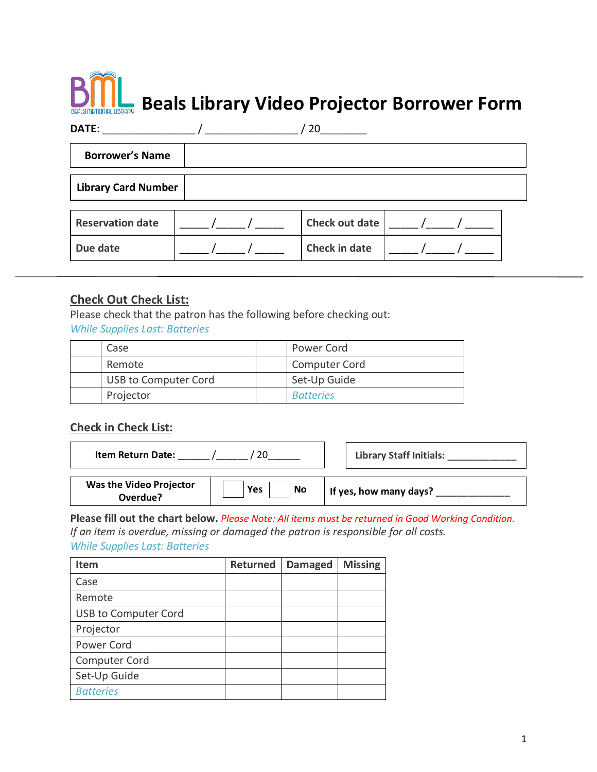# **Beals Library Video Projector Borrower Form**

| DATE:                      |  | 20             |  |  |
|----------------------------|--|----------------|--|--|
| <b>Borrower's Name</b>     |  |                |  |  |
| <b>Library Card Number</b> |  |                |  |  |
| <b>Reservation date</b>    |  | Check out date |  |  |

## **Check Out Check List:**

Please check that the patron has the following before checking out:

*While Supplies Last: Batteries*

| Case                        | Power Cord           |
|-----------------------------|----------------------|
| Remote                      | <b>Computer Cord</b> |
| <b>USB to Computer Cord</b> | Set-Up Guide         |
| Projector                   | <b>Batteries</b>     |

Due date  $\vert$  \_\_\_\_\_ /\_\_\_\_\_ / \_\_\_\_\_ | Check in date  $\vert$  \_\_\_\_ /\_\_\_\_\_ / \_\_\_

#### **Check in Check List:**

| <b>Item Return Date:</b>                   |                  | <b>Library Staff Initials:</b> |
|--------------------------------------------|------------------|--------------------------------|
| <b>Was the Video Projector</b><br>Overdue? | <b>No</b><br>Yes | If yes, how many days?         |

**Please fill out the chart below.** *Please Note: All items must be returned in Good Working Condition. If an item is overdue, missing or damaged the patron is responsible for all costs.* 

*While Supplies Last: Batteries*

| Item                        | <b>Returned</b> | <b>Damaged</b> | <b>Missing</b> |
|-----------------------------|-----------------|----------------|----------------|
| Case                        |                 |                |                |
| Remote                      |                 |                |                |
| <b>USB to Computer Cord</b> |                 |                |                |
| Projector                   |                 |                |                |
| <b>Power Cord</b>           |                 |                |                |
| <b>Computer Cord</b>        |                 |                |                |
| Set-Up Guide                |                 |                |                |
| <b>Batteries</b>            |                 |                |                |